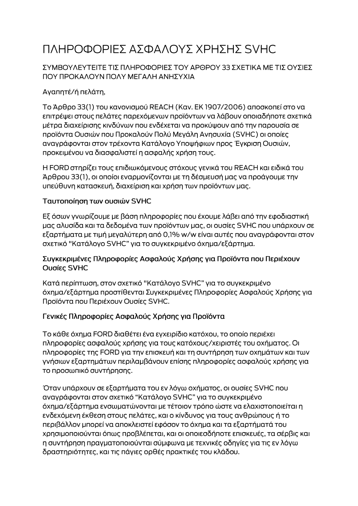# ΠΛΗΡΟΦΟΡΙΕΣ ΑΣΦΑΛΟΥΣ ΧΡΗΣΗΣ SVHC

### ΣΥΜΒΟΥΛΕΥΤΕΙΤΕ ΤΙΣ ΠΛΗΡΟΦΟΡΙΕΣ ΤΟΥ ΑΡΘΡΟΥ 33 ΣΧΕΤΙΚΑ ΜΕ ΤΙΣ ΟΥΣΙΕΣ ΠΟΥ ΠΡΟΚΑΛΟΥΝ ΠΟΛΥ ΜΕΓΑΛΗ ΑΝΗΣΥΧΙΑ

# Αγαπητέ/ή πελάτη,

Το Άρθρο 33(1) του κανονισμού REACH (Καν. ΕΚ 1907/2006) αποσκοπεί στο να επιτρέψει στους πελάτες παρεχόμενων προϊόντων να λάβουν οποιαδήποτε σχετικά μέτρα διαχείρισης κινδύνων που ενδέχεται να προκύψουν από την παρουσία σε προϊόντα Ουσιών που Προκαλούν Πολύ Μεγάλη Ανησυχία (SVHC) οι οποίες αναγράφονται στον τρέχοντα Κατάλογο Υποψήφιων προς Έγκριση Ουσιών, προκειμένου να διασφαλιστεί η ασφαλής χρήση τους.

Η FORD στηρίζει τους επιδιωκόμενους στόχους γενικά του REACH και ειδικά του Άρθρου 33(1), οι οποίοι εναρμονίζονται με τη δέσμευσή μας να προάγουμε την υπεύθυνη κατασκευή, διαχείριση και χρήση των προϊόντων μας.

#### Ταυτοποίηση των ουσιών SVHC

Εξ όσων γνωρίζουμε με βάση πληροφορίες που έχουμε λάβει από την εφοδιαστική μας αλυσίδα και τα δεδομένα των προϊόντων μας, οι ουσίες SVHC που υπάρχουν σε εξαρτήματα με τιμή μεγαλύτερη από 0,1% w/w είναι αυτές που αναγράφονται στον σχετικό "Κατάλογο SVHC" για το συγκεκριμένο όχημα/εξάρτημα.

#### Συγκεκριμένες Πληροφορίες Ασφαλούς Χρήσης για Προϊόντα που Περιέχουν Ουσίες SVHC

Κατά περίπτωση, στον σχετικό "Κατάλογο SVHC" για το συγκεκριμένο όχημα/εξάρτημα προστίθενται Συγκεκριμένες Πληροφορίες Ασφαλούς Χρήσης για Προϊόντα που Περιέχουν Ουσίες SVHC.

## Γενικές Πληροφορίες Ασφαλούς Χρήσης για Προϊόντα

Το κάθε όχημα FORD διαθέτει ένα εγχειρίδιο κατόχου, το οποίο περιέχει πληροφορίες ασφαλούς χρήσης για τους κατόχους/χειριστές του οχήματος. Οι πληροφορίες της FORD για την επισκευή και τη συντήρηση των οχημάτων και των γνήσιων εξαρτημάτων περιλαμβάνουν επίσης πληροφορίες ασφαλούς χρήσης για το προσωπικό συντήρησης.

Όταν υπάρχουν σε εξαρτήματα του εν λόγω οχήματος, οι ουσίες SVHC που αναγράφονται στον σχετικό "Κατάλογο SVHC" για το συγκεκριμένο όχημα/εξάρτημα ενσωματώνονται με τέτοιον τρόπο ώστε να ελαχιστοποιείται η ενδεχόμενη έκθεση στους πελάτες, και ο κίνδυνος για τους ανθρώπους ή το περιβάλλον μπορεί να αποκλειστεί εφόσον το όχημα και τα εξαρτήματά του χρησιμοποιούνται όπως προβλέπεται, και οι οποιεσδήποτε επισκευές, τα σέρβις και η συντήρηση πραγματοποιούνται σύμφωνα με τεχνικές οδηγίες για τις εν λόγω δραστηριότητες, και τις πάγιες ορθές πρακτικές του κλάδου.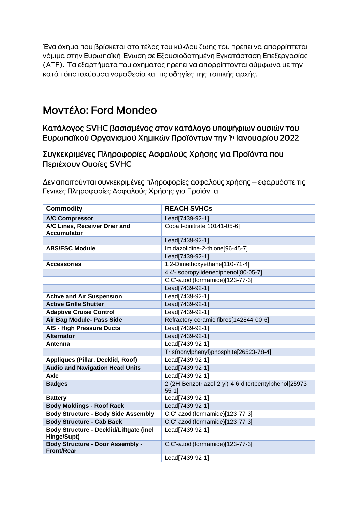Ένα όχημα που βρίσκεται στο τέλος του κύκλου ζωής του πρέπει να απορρίπτεται νόμιμα στην Ευρωπαϊκή Ένωση σε Εξουσιοδοτημένη Εγκατάσταση Επεξεργασίας (ΑΤΕ). Τα εξαρτήματα του οχήματος πρέπει να απορρίπτονται σύμφωνα με την κατά τόπο ισχύουσα νομοθεσία και τις οδηγίες της τοπικής αρχής.

# Μοντέλο: Ford Mondeo

Κατάλογος SVHC βασισμένος στον κατάλογο υποψήφιων ουσιών του Ευρωπαϊκού Οργανισμού Χημικών Προϊόντων την 1η Ιανουαρίου 2022

Συγκεκριμένες Πληροφορίες Ασφαλούς Χρήσης για Προϊόντα που Περιέχουν Ουσίες SVHC

Δεν απαιτούνται συγκεκριμένες πληροφορίες ασφαλούς χρήσης – εφαρμόστε τις Γενικές Πληροφορίες Ασφαλούς Χρήσης για Προϊόντα

| <b>Commodity</b>                                             | <b>REACH SVHCs</b>                                               |
|--------------------------------------------------------------|------------------------------------------------------------------|
| <b>A/C Compressor</b>                                        | Lead[7439-92-1]                                                  |
| A/C Lines, Receiver Drier and<br><b>Accumulator</b>          | Cobalt-dinitrate[10141-05-6]                                     |
|                                                              | Lead[7439-92-1]                                                  |
| <b>ABS/ESC Module</b>                                        | Imidazolidine-2-thione[96-45-7]                                  |
|                                                              | Lead[7439-92-1]                                                  |
| <b>Accessories</b>                                           | 1,2-Dimethoxyethane[110-71-4]                                    |
|                                                              | 4,4'-Isopropylidenediphenol[80-05-7]                             |
|                                                              | C,C'-azodi(formamide)[123-77-3]                                  |
|                                                              | Lead[7439-92-1]                                                  |
| <b>Active and Air Suspension</b>                             | Lead[7439-92-1]                                                  |
| <b>Active Grille Shutter</b>                                 | Lead[7439-92-1]                                                  |
| <b>Adaptive Cruise Control</b>                               | Lead[7439-92-1]                                                  |
| Air Bag Module- Pass Side                                    | Refractory ceramic fibres[142844-00-6]                           |
| <b>AIS - High Pressure Ducts</b>                             | Lead[7439-92-1]                                                  |
| <b>Alternator</b>                                            | Lead[7439-92-1]                                                  |
| Antenna                                                      | Lead[7439-92-1]                                                  |
|                                                              | Tris(nonylphenyl)phosphite[26523-78-4]                           |
| Appliques (Pillar, Decklid, Roof)                            | Lead[7439-92-1]                                                  |
| <b>Audio and Navigation Head Units</b>                       | Lead[7439-92-1]                                                  |
| Axle                                                         | Lead[7439-92-1]                                                  |
| <b>Badges</b>                                                | 2-(2H-Benzotriazol-2-yl)-4,6-ditertpentylphenol[25973-<br>$55-1$ |
| <b>Battery</b>                                               | Lead[7439-92-1]                                                  |
| <b>Body Moldings - Roof Rack</b>                             | Lead[7439-92-1]                                                  |
| <b>Body Structure - Body Side Assembly</b>                   | C,C'-azodi(formamide)[123-77-3]                                  |
| <b>Body Structure - Cab Back</b>                             | C,C'-azodi(formamide)[123-77-3]                                  |
| Body Structure - Decklid/Liftgate (incl<br>Hinge/Supt)       | Lead[7439-92-1]                                                  |
| <b>Body Structure - Door Assembly -</b><br><b>Front/Rear</b> | C,C'-azodi(formamide)[123-77-3]                                  |
|                                                              | Lead[7439-92-1]                                                  |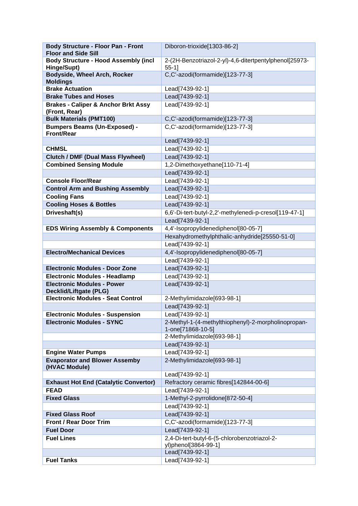| <b>Body Structure - Floor Pan - Front</b>                                 | Diboron-trioxide[1303-86-2]                            |
|---------------------------------------------------------------------------|--------------------------------------------------------|
| <b>Floor and Side Sill</b><br><b>Body Structure - Hood Assembly (incl</b> | 2-(2H-Benzotriazol-2-yl)-4,6-ditertpentylphenol[25973- |
| Hinge/Supt)                                                               | $55-1$ ]                                               |
| <b>Bodyside, Wheel Arch, Rocker</b><br><b>Moldings</b>                    | C,C'-azodi(formamide)[123-77-3]                        |
| <b>Brake Actuation</b>                                                    | Lead[7439-92-1]                                        |
| <b>Brake Tubes and Hoses</b>                                              | Lead[7439-92-1]                                        |
| <b>Brakes - Caliper &amp; Anchor Brkt Assy</b>                            | Lead[7439-92-1]                                        |
| (Front, Rear)                                                             |                                                        |
| <b>Bulk Materials (PMT100)</b>                                            | C,C'-azodi(formamide)[123-77-3]                        |
| <b>Bumpers Beams (Un-Exposed) -</b>                                       | C,C'-azodi(formamide)[123-77-3]                        |
| <b>Front/Rear</b>                                                         |                                                        |
| <b>CHMSL</b>                                                              | Lead[7439-92-1]                                        |
|                                                                           | Lead[7439-92-1]                                        |
| <b>Clutch / DMF (Dual Mass Flywheel)</b>                                  | Lead[7439-92-1]                                        |
| <b>Combined Sensing Module</b>                                            | 1,2-Dimethoxyethane[110-71-4]                          |
|                                                                           | Lead[7439-92-1]                                        |
| <b>Console Floor/Rear</b>                                                 | Lead[7439-92-1]                                        |
| <b>Control Arm and Bushing Assembly</b>                                   | Lead[7439-92-1]                                        |
| <b>Cooling Fans</b>                                                       | Lead[7439-92-1]                                        |
| <b>Cooling Hoses &amp; Bottles</b>                                        | Lead[7439-92-1]                                        |
| Driveshaft(s)                                                             | 6,6'-Di-tert-butyl-2,2'-methylenedi-p-cresol[119-47-1] |
|                                                                           | Lead[7439-92-1]                                        |
| <b>EDS Wiring Assembly &amp; Components</b>                               | 4,4'-Isopropylidenediphenol[80-05-7]                   |
|                                                                           | Hexahydromethylphthalic-anhydride[25550-51-0]          |
|                                                                           | Lead[7439-92-1]                                        |
| <b>Electro/Mechanical Devices</b>                                         | 4,4'-Isopropylidenediphenol[80-05-7]                   |
|                                                                           | Lead[7439-92-1]                                        |
| <b>Electronic Modules - Door Zone</b>                                     | Lead[7439-92-1]                                        |
| <b>Electronic Modules - Headlamp</b>                                      | Lead[7439-92-1]                                        |
| <b>Electronic Modules - Power</b><br><b>Decklid/Liftgate (PLG)</b>        | Lead[7439-92-1]                                        |
| <b>Electronic Modules - Seat Control</b>                                  | 2-Methylimidazole[693-98-1]                            |
|                                                                           | Lead[7439-92-1]                                        |
| <b>Electronic Modules - Suspension</b>                                    | Lead[7439-92-1]                                        |
| <b>Electronic Modules - SYNC</b>                                          | 2-Methyl-1-(4-methylthiophenyl)-2-morpholinopropan-    |
|                                                                           | 1-one[71868-10-5]                                      |
|                                                                           | 2-Methylimidazole[693-98-1]                            |
|                                                                           | Lead[7439-92-1]                                        |
| <b>Engine Water Pumps</b>                                                 | Lead[7439-92-1]                                        |
| <b>Evaporator and Blower Assemby</b><br>(HVAC Module)                     | 2-Methylimidazole[693-98-1]                            |
|                                                                           | Lead[7439-92-1]                                        |
| <b>Exhaust Hot End (Catalytic Convertor)</b>                              | Refractory ceramic fibres[142844-00-6]                 |
| <b>FEAD</b>                                                               | Lead[7439-92-1]                                        |
| <b>Fixed Glass</b>                                                        | 1-Methyl-2-pyrrolidone[872-50-4]                       |
|                                                                           | Lead[7439-92-1]                                        |
| <b>Fixed Glass Roof</b>                                                   | Lead[7439-92-1]                                        |
| <b>Front / Rear Door Trim</b>                                             | C,C'-azodi(formamide)[123-77-3]                        |
| <b>Fuel Door</b>                                                          | Lead[7439-92-1]                                        |
| <b>Fuel Lines</b>                                                         | 2,4-Di-tert-butyl-6-(5-chlorobenzotriazol-2-           |
|                                                                           | yl)phenol[3864-99-1]                                   |
|                                                                           | Lead[7439-92-1]                                        |
| <b>Fuel Tanks</b>                                                         | Lead[7439-92-1]                                        |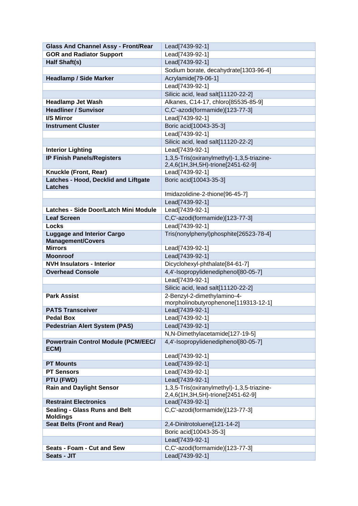| <b>Glass And Channel Assy - Front/Rear</b>                    | Lead[7439-92-1]                            |
|---------------------------------------------------------------|--------------------------------------------|
| <b>GOR and Radiator Support</b>                               | Lead[7439-92-1]                            |
| Half Shaft(s)                                                 | Lead[7439-92-1]                            |
|                                                               | Sodium borate, decahydrate[1303-96-4]      |
| <b>Headlamp / Side Marker</b>                                 | Acrylamide[79-06-1]                        |
|                                                               | Lead[7439-92-1]                            |
|                                                               | Silicic acid, lead salt[11120-22-2]        |
| <b>Headlamp Jet Wash</b>                                      | Alkanes, C14-17, chloro[85535-85-9]        |
| <b>Headliner / Sunvisor</b>                                   | C,C'-azodi(formamide)[123-77-3]            |
| <b>I/S Mirror</b>                                             | Lead[7439-92-1]                            |
| <b>Instrument Cluster</b>                                     | Boric acid[10043-35-3]                     |
|                                                               | Lead[7439-92-1]                            |
|                                                               | Silicic acid, lead salt[11120-22-2]        |
| <b>Interior Lighting</b>                                      | Lead[7439-92-1]                            |
| <b>IP Finish Panels/Registers</b>                             | 1,3,5-Tris(oxiranylmethyl)-1,3,5-triazine- |
|                                                               | 2,4,6(1H,3H,5H)-trione[2451-62-9]          |
| Knuckle (Front, Rear)                                         | Lead[7439-92-1]                            |
| Latches - Hood, Decklid and Liftgate                          | Boric acid[10043-35-3]                     |
| <b>Latches</b>                                                |                                            |
|                                                               | Imidazolidine-2-thione[96-45-7]            |
|                                                               | Lead[7439-92-1]                            |
| Latches - Side Door/Latch Mini Module                         | Lead[7439-92-1]                            |
| <b>Leaf Screen</b>                                            | C,C'-azodi(formamide)[123-77-3]            |
| <b>Locks</b>                                                  | Lead[7439-92-1]                            |
| <b>Luggage and Interior Cargo</b><br><b>Management/Covers</b> | Tris(nonylphenyl)phosphite[26523-78-4]     |
| <b>Mirrors</b>                                                | Lead[7439-92-1]                            |
| <b>Moonroof</b>                                               | Lead[7439-92-1]                            |
| <b>NVH Insulators - Interior</b>                              | Dicyclohexyl-phthalate[84-61-7]            |
| <b>Overhead Console</b>                                       | 4,4'-Isopropylidenediphenol[80-05-7]       |
|                                                               | Lead[7439-92-1]                            |
|                                                               | Silicic acid, lead salt[11120-22-2]        |
| <b>Park Assist</b>                                            | 2-Benzyl-2-dimethylamino-4-                |
|                                                               | morpholinobutyrophenone[119313-12-1]       |
| <b>PATS Transceiver</b>                                       | Lead[7439-92-1]                            |
| <b>Pedal Box</b>                                              | Lead[7439-92-1]                            |
| <b>Pedestrian Alert System (PAS)</b>                          | Lead[7439-92-1]                            |
|                                                               | N,N-Dimethylacetamide[127-19-5]            |
| <b>Powertrain Control Module (PCM/EEC/</b>                    | 4,4'-Isopropylidenediphenol[80-05-7]       |
| ECM)                                                          | Lead[7439-92-1]                            |
| <b>PT Mounts</b>                                              | Lead[7439-92-1]                            |
| <b>PT Sensors</b>                                             | Lead[7439-92-1]                            |
| PTU (FWD)                                                     | Lead[7439-92-1]                            |
| <b>Rain and Daylight Sensor</b>                               | 1,3,5-Tris(oxiranylmethyl)-1,3,5-triazine- |
|                                                               | 2,4,6(1H,3H,5H)-trione[2451-62-9]          |
| <b>Restraint Electronics</b>                                  | Lead[7439-92-1]                            |
| <b>Sealing - Glass Runs and Belt</b><br><b>Moldings</b>       | C,C'-azodi(formamide)[123-77-3]            |
| <b>Seat Belts (Front and Rear)</b>                            | 2,4-Dinitrotoluene[121-14-2]               |
|                                                               | Boric acid[10043-35-3]                     |
|                                                               | Lead[7439-92-1]                            |
| Seats - Foam - Cut and Sew                                    | C,C'-azodi(formamide)[123-77-3]            |
| Seats - JIT                                                   | Lead[7439-92-1]                            |